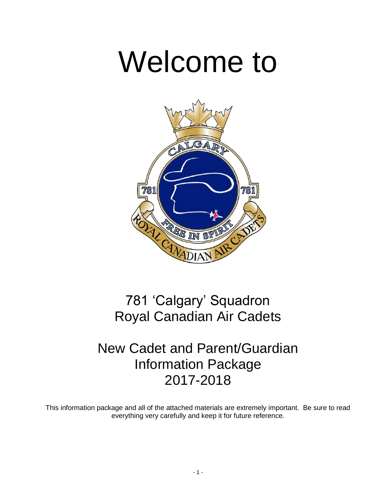# Welcome to



## 781 'Calgary' Squadron Royal Canadian Air Cadets

## New Cadet and Parent/Guardian Information Package 2017-2018

This information package and all of the attached materials are extremely important. Be sure to read everything very carefully and keep it for future reference.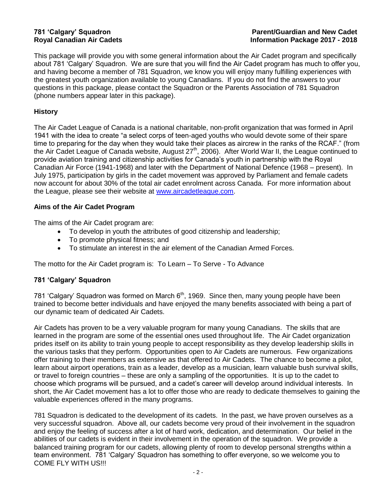This package will provide you with some general information about the Air Cadet program and specifically about 781 'Calgary' Squadron. We are sure that you will find the Air Cadet program has much to offer you, and having become a member of 781 Squadron, we know you will enjoy many fulfilling experiences with the greatest youth organization available to young Canadians. If you do not find the answers to your questions in this package, please contact the Squadron or the Parents Association of 781 Squadron (phone numbers appear later in this package).

#### **History**

The Air Cadet League of Canada is a national charitable, non-profit organization that was formed in April 1941 with the idea to create "a select corps of teen-aged youths who would devote some of their spare time to preparing for the day when they would take their places as aircrew in the ranks of the RCAF." (from the Air Cadet League of Canada website, August 27<sup>th</sup>, 2006). After World War II, the League continued to provide aviation training and citizenship activities for Canada's youth in partnership with the Royal Canadian Air Force (1941-1968) and later with the Department of National Defence (1968 – present). In July 1975, participation by girls in the cadet movement was approved by Parliament and female cadets now account for about 30% of the total air cadet enrolment across Canada. For more information about the League, please see their website at [www.aircadetleague.com.](http://www.aircadetleague.com/)

#### **Aims of the Air Cadet Program**

The aims of the Air Cadet program are:

- To develop in youth the attributes of good citizenship and leadership;
- To promote physical fitness; and
- To stimulate an interest in the air element of the Canadian Armed Forces.

The motto for the Air Cadet program is: To Learn – To Serve - To Advance

#### **781 'Calgary' Squadron**

781 'Calgary' Squadron was formed on March  $6<sup>th</sup>$ , 1969. Since then, many young people have been trained to become better individuals and have enjoyed the many benefits associated with being a part of our dynamic team of dedicated Air Cadets.

Air Cadets has proven to be a very valuable program for many young Canadians. The skills that are learned in the program are some of the essential ones used throughout life. The Air Cadet organization prides itself on its ability to train young people to accept responsibility as they develop leadership skills in the various tasks that they perform. Opportunities open to Air Cadets are numerous. Few organizations offer training to their members as extensive as that offered to Air Cadets. The chance to become a pilot, learn about airport operations, train as a leader, develop as a musician, learn valuable bush survival skills, or travel to foreign countries – these are only a sampling of the opportunities. It is up to the cadet to choose which programs will be pursued, and a cadet's career will develop around individual interests. In short, the Air Cadet movement has a lot to offer those who are ready to dedicate themselves to gaining the valuable experiences offered in the many programs.

781 Squadron is dedicated to the development of its cadets. In the past, we have proven ourselves as a very successful squadron. Above all, our cadets become very proud of their involvement in the squadron and enjoy the feeling of success after a lot of hard work, dedication, and determination. Our belief in the abilities of our cadets is evident in their involvement in the operation of the squadron. We provide a balanced training program for our cadets, allowing plenty of room to develop personal strengths within a team environment. 781 'Calgary' Squadron has something to offer everyone, so we welcome you to COME FLY WITH US!!!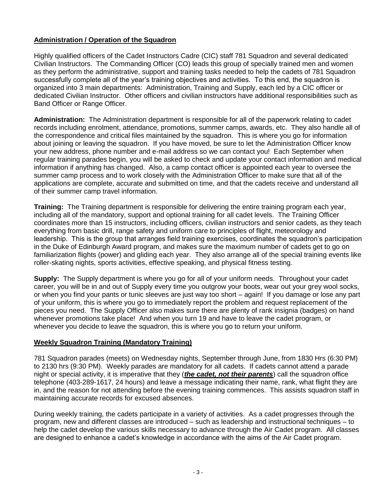#### **Administration / Operation of the Squadron**

Highly qualified officers of the Cadet Instructors Cadre (CIC) staff 781 Squadron and several dedicated Civilian Instructors. The Commanding Officer (CO) leads this group of specially trained men and women as they perform the administrative, support and training tasks needed to help the cadets of 781 Squadron successfully complete all of the year's training objectives and activities. To this end, the squadron is organized into 3 main departments: Administration, Training and Supply, each led by a CIC officer or dedicated Civilian Instructor. Other officers and civilian instructors have additional responsibilities such as Band Officer or Range Officer.

**Administration:** The Administration department is responsible for all of the paperwork relating to cadet records including enrolment, attendance, promotions, summer camps, awards, etc. They also handle all of the correspondence and critical files maintained by the squadron. This is where you go for information about joining or leaving the squadron. If you have moved, be sure to let the Administration Officer know your new address, phone number and e-mail address so we can contact you! Each September when regular training parades begin, you will be asked to check and update your contact information and medical information if anything has changed. Also, a camp contact officer is appointed each year to oversee the summer camp process and to work closely with the Administration Officer to make sure that all of the applications are complete, accurate and submitted on time, and that the cadets receive and understand all of their summer camp travel information.

**Training:** The Training department is responsible for delivering the entire training program each year, including all of the mandatory, support and optional training for all cadet levels. The Training Officer coordinates more than 15 instructors, including officers, civilian instructors and senior cadets, as they teach everything from basic drill, range safety and uniform care to principles of flight, meteorology and leadership. This is the group that arranges field training exercises, coordinates the squadron's participation in the Duke of Edinburgh Award program, and makes sure the maximum number of cadets get to go on familiarization flights (power) and gliding each year. They also arrange all of the special training events like roller-skating nights, sports activities, effective speaking, and physical fitness testing.

**Supply:** The Supply department is where you go for all of your uniform needs. Throughout your cadet career, you will be in and out of Supply every time you outgrow your boots, wear out your grey wool socks, or when you find your pants or tunic sleeves are just way too short – again! If you damage or lose any part of your uniform, this is where you go to immediately report the problem and request replacement of the pieces you need. The Supply Officer also makes sure there are plenty of rank insignia (badges) on hand whenever promotions take place! And when you turn 19 and have to leave the cadet program, or whenever you decide to leave the squadron, this is where you go to return your uniform.

#### **Weekly Squadron Training (Mandatory Training)**

781 Squadron parades (meets) on Wednesday nights, September through June, from 1830 Hrs (6:30 PM) to 2130 hrs (9:30 PM). Weekly parades are mandatory for all cadets. If cadets cannot attend a parade night or special activity, it is imperative that they (*the cadet, not their parents*) call the squadron office telephone (403-289-1617, 24 hours) and leave a message indicating their name, rank, what flight they are in, and the reason for not attending before the evening training commences. This assists squadron staff in maintaining accurate records for excused absences.

During weekly training, the cadets participate in a variety of activities. As a cadet progresses through the program, new and different classes are introduced – such as leadership and instructional techniques – to help the cadet develop the various skills necessary to advance through the Air Cadet program. All classes are designed to enhance a cadet's knowledge in accordance with the aims of the Air Cadet program.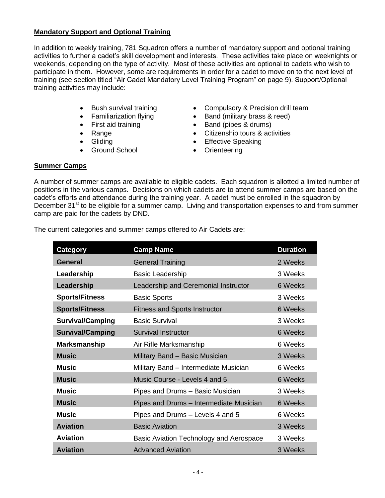#### **Mandatory Support and Optional Training**

In addition to weekly training, 781 Squadron offers a number of mandatory support and optional training activities to further a cadet's skill development and interests. These activities take place on weeknights or weekends, depending on the type of activity. Most of these activities are optional to cadets who wish to participate in them. However, some are requirements in order for a cadet to move on to the next level of training (see section titled "Air Cadet Mandatory Level Training Program" on page 9). Support/Optional training activities may include:

- 
- 
- 
- 
- 
- Ground School **Contract Contract Contract Contract Contract Contract Contract Contract Contract Contract Contract Contract Contract Contract Contract Contract Contract Contract Contract Contract Contract Contract Contract**
- Bush survival training Compulsory & Precision drill team
- Familiarization flying Band (military brass & reed)
- First aid training  **Band (pipes & drums)**
- Range **Citizenship tours & activities** 
	- Gliding **Effective Speaking** 
		-

#### **Summer Camps**

A number of summer camps are available to eligible cadets. Each squadron is allotted a limited number of positions in the various camps. Decisions on which cadets are to attend summer camps are based on the cadet's efforts and attendance during the training year. A cadet must be enrolled in the squadron by December 31<sup>st</sup> to be eligible for a summer camp. Living and transportation expenses to and from summer camp are paid for the cadets by DND.

The current categories and summer camps offered to Air Cadets are:

| <b>Category</b>         | <b>Camp Name</b>                        | <b>Duration</b> |
|-------------------------|-----------------------------------------|-----------------|
| <b>General</b>          | <b>General Training</b>                 | 2 Weeks         |
| Leadership              | <b>Basic Leadership</b>                 | 3 Weeks         |
| Leadership              | Leadership and Ceremonial Instructor    | 6 Weeks         |
| <b>Sports/Fitness</b>   | <b>Basic Sports</b>                     | 3 Weeks         |
| <b>Sports/Fitness</b>   | <b>Fitness and Sports Instructor</b>    | 6 Weeks         |
| <b>Survival/Camping</b> | <b>Basic Survival</b>                   | 3 Weeks         |
| <b>Survival/Camping</b> | <b>Survival Instructor</b>              | 6 Weeks         |
| <b>Marksmanship</b>     | Air Rifle Marksmanship                  | 6 Weeks         |
| <b>Music</b>            | Military Band - Basic Musician          | 3 Weeks         |
| <b>Music</b>            | Military Band - Intermediate Musician   | 6 Weeks         |
| <b>Music</b>            | Music Course - Levels 4 and 5           | 6 Weeks         |
| <b>Music</b>            | Pipes and Drums - Basic Musician        | 3 Weeks         |
| <b>Music</b>            | Pipes and Drums - Intermediate Musician | 6 Weeks         |
| <b>Music</b>            | Pipes and Drums - Levels 4 and 5        | 6 Weeks         |
| <b>Aviation</b>         | <b>Basic Aviation</b>                   | 3 Weeks         |
| <b>Aviation</b>         | Basic Aviation Technology and Aerospace | 3 Weeks         |
| <b>Aviation</b>         | <b>Advanced Aviation</b>                | 3 Weeks         |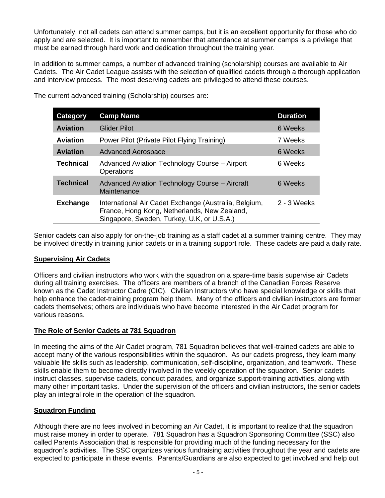Unfortunately, not all cadets can attend summer camps, but it is an excellent opportunity for those who do apply and are selected. It is important to remember that attendance at summer camps is a privilege that must be earned through hard work and dedication throughout the training year.

In addition to summer camps, a number of advanced training (scholarship) courses are available to Air Cadets. The Air Cadet League assists with the selection of qualified cadets through a thorough application and interview process. The most deserving cadets are privileged to attend these courses.

| Category         | <b>Camp Name</b>                                                                                                                                    | <b>Duration</b> |
|------------------|-----------------------------------------------------------------------------------------------------------------------------------------------------|-----------------|
| <b>Aviation</b>  | <b>Glider Pilot</b>                                                                                                                                 | 6 Weeks         |
| <b>Aviation</b>  | Power Pilot (Private Pilot Flying Training)                                                                                                         | 7 Weeks         |
| <b>Aviation</b>  | <b>Advanced Aerospace</b>                                                                                                                           | 6 Weeks         |
| <b>Technical</b> | Advanced Aviation Technology Course - Airport<br>Operations                                                                                         | 6 Weeks         |
| <b>Technical</b> | Advanced Aviation Technology Course - Aircraft<br>Maintenance                                                                                       | 6 Weeks         |
| <b>Exchange</b>  | International Air Cadet Exchange (Australia, Belgium,<br>France, Hong Kong, Netherlands, New Zealand,<br>Singapore, Sweden, Turkey, U.K, or U.S.A.) | $2 - 3$ Weeks   |

The current advanced training (Scholarship) courses are:

Senior cadets can also apply for on-the-job training as a staff cadet at a summer training centre. They may be involved directly in training junior cadets or in a training support role. These cadets are paid a daily rate.

#### **Supervising Air Cadets**

Officers and civilian instructors who work with the squadron on a spare-time basis supervise air Cadets during all training exercises. The officers are members of a branch of the Canadian Forces Reserve known as the Cadet Instructor Cadre (CIC). Civilian Instructors who have special knowledge or skills that help enhance the cadet-training program help them. Many of the officers and civilian instructors are former cadets themselves; others are individuals who have become interested in the Air Cadet program for various reasons.

#### **The Role of Senior Cadets at 781 Squadron**

In meeting the aims of the Air Cadet program, 781 Squadron believes that well-trained cadets are able to accept many of the various responsibilities within the squadron. As our cadets progress, they learn many valuable life skills such as leadership, communication, self-discipline, organization, and teamwork. These skills enable them to become directly involved in the weekly operation of the squadron. Senior cadets instruct classes, supervise cadets, conduct parades, and organize support-training activities, along with many other important tasks. Under the supervision of the officers and civilian instructors, the senior cadets play an integral role in the operation of the squadron.

#### **Squadron Funding**

Although there are no fees involved in becoming an Air Cadet, it is important to realize that the squadron must raise money in order to operate. 781 Squadron has a Squadron Sponsoring Committee (SSC) also called Parents Association that is responsible for providing much of the funding necessary for the squadron's activities. The SSC organizes various fundraising activities throughout the year and cadets are expected to participate in these events. Parents/Guardians are also expected to get involved and help out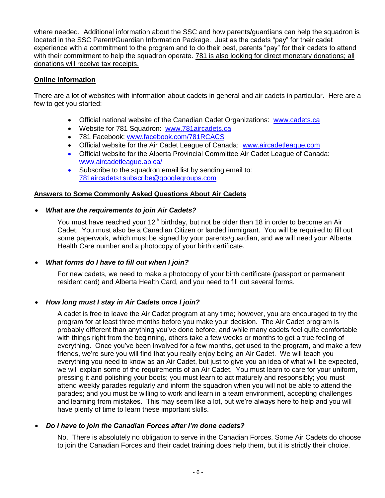where needed. Additional information about the SSC and how parents/guardians can help the squadron is located in the SSC Parent/Guardian Information Package. Just as the cadets "pay" for their cadet experience with a commitment to the program and to do their best, parents "pay" for their cadets to attend with their commitment to help the squadron operate. 781 is also looking for direct monetary donations; all donations will receive tax receipts.

### **Online Information**

There are a lot of websites with information about cadets in general and air cadets in particular. Here are a few to get you started:

- Official national website of the Canadian Cadet Organizations: [www.cadets.ca](http://www.cadets.ca/)
- Website for 781 Squadron: [www.781aircadets.ca](http://www.781aircadets.ca/)
- 781 Facebook: [www.facebook.com/781RCACS](http://www.facebook.com/781RCACS)
- Official website for the Air Cadet League of Canada: [www.aircadetleague.com](http://www.aircadetleague.com/)
- Official website for the Alberta Provincial Committee Air Cadet League of Canada: [www.aircadetleague.ab.ca/](http://www.aircadetleague.ab.ca/)
- Subscribe to the squadron email list by sending email to: [781aircadets+subscribe@googlegroups.com](mailto:781aircadets+subscribe@googlegroups.com)

#### **Answers to Some Commonly Asked Questions About Air Cadets**

#### *What are the requirements to join Air Cadets?*

You must have reached your 12<sup>th</sup> birthday, but not be older than 18 in order to become an Air Cadet. You must also be a Canadian Citizen or landed immigrant. You will be required to fill out some paperwork, which must be signed by your parents/guardian, and we will need your Alberta Health Care number and a photocopy of your birth certificate.

#### *What forms do I have to fill out when I join?*

For new cadets, we need to make a photocopy of your birth certificate (passport or permanent resident card) and Alberta Health Card, and you need to fill out several forms.

#### *How long must I stay in Air Cadets once I join?*

A cadet is free to leave the Air Cadet program at any time; however, you are encouraged to try the program for at least three months before you make your decision. The Air Cadet program is probably different than anything you've done before, and while many cadets feel quite comfortable with things right from the beginning, others take a few weeks or months to get a true feeling of everything. Once you've been involved for a few months, get used to the program, and make a few friends, we're sure you will find that you really enjoy being an Air Cadet. We will teach you everything you need to know as an Air Cadet, but just to give you an idea of what will be expected, we will explain some of the requirements of an Air Cadet. You must learn to care for your uniform, pressing it and polishing your boots; you must learn to act maturely and responsibly; you must attend weekly parades regularly and inform the squadron when you will not be able to attend the parades; and you must be willing to work and learn in a team environment, accepting challenges and learning from mistakes. This may seem like a lot, but we're always here to help and you will have plenty of time to learn these important skills.

#### *Do I have to join the Canadian Forces after I'm done cadets?*

No. There is absolutely no obligation to serve in the Canadian Forces. Some Air Cadets do choose to join the Canadian Forces and their cadet training does help them, but it is strictly their choice.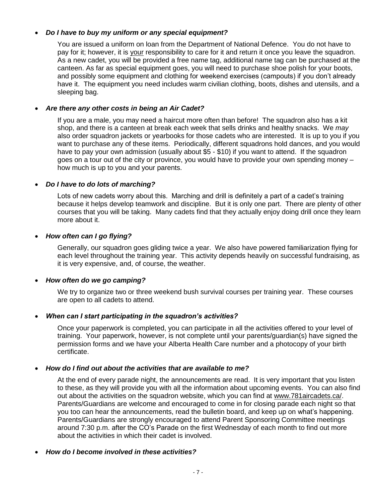#### *Do I have to buy my uniform or any special equipment?*

You are issued a uniform on loan from the Department of National Defence. You do not have to pay for it; however, it is your responsibility to care for it and return it once you leave the squadron. As a new cadet, you will be provided a free name tag, additional name tag can be purchased at the canteen. As far as special equipment goes, you will need to purchase shoe polish for your boots, and possibly some equipment and clothing for weekend exercises (campouts) if you don't already have it. The equipment you need includes warm civilian clothing, boots, dishes and utensils, and a sleeping bag.

#### *Are there any other costs in being an Air Cadet?*

If you are a male, you may need a haircut more often than before! The squadron also has a kit shop, and there is a canteen at break each week that sells drinks and healthy snacks. We *may*  also order squadron jackets or yearbooks for those cadets who are interested. It is up to you if you want to purchase any of these items. Periodically, different squadrons hold dances, and you would have to pay your own admission (usually about \$5 - \$10) if you want to attend. If the squadron goes on a tour out of the city or province, you would have to provide your own spending money – how much is up to you and your parents.

#### *Do I have to do lots of marching?*

Lots of new cadets worry about this. Marching and drill is definitely a part of a cadet's training because it helps develop teamwork and discipline. But it is only one part. There are plenty of other courses that you will be taking. Many cadets find that they actually enjoy doing drill once they learn more about it.

#### *How often can I go flying?*

Generally, our squadron goes gliding twice a year. We also have powered familiarization flying for each level throughout the training year. This activity depends heavily on successful fundraising, as it is very expensive, and, of course, the weather.

#### *How often do we go camping?*

We try to organize two or three weekend bush survival courses per training year. These courses are open to all cadets to attend.

#### *When can I start participating in the squadron's activities?*

Once your paperwork is completed, you can participate in all the activities offered to your level of training. Your paperwork, however, is not complete until your parents/guardian(s) have signed the permission forms and we have your Alberta Health Care number and a photocopy of your birth certificate.

#### *How do I find out about the activities that are available to me?*

At the end of every parade night, the announcements are read. It is very important that you listen to these, as they will provide you with all the information about upcoming events. You can also find out about the activities on the squadron website, which you can find at www.781aircadets.ca/. Parents/Guardians are welcome and encouraged to come in for closing parade each night so that you too can hear the announcements, read the bulletin board, and keep up on what's happening. Parents/Guardians are strongly encouraged to attend Parent Sponsoring Committee meetings around 7:30 p.m. after the CO's Parade on the first Wednesday of each month to find out more about the activities in which their cadet is involved.

*How do I become involved in these activities?*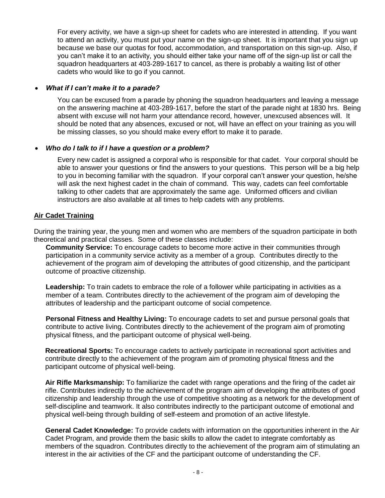For every activity, we have a sign-up sheet for cadets who are interested in attending. If you want to attend an activity, you must put your name on the sign-up sheet. It is important that you sign up because we base our quotas for food, accommodation, and transportation on this sign-up. Also, if you can't make it to an activity, you should either take your name off of the sign-up list or call the squadron headquarters at 403-289-1617 to cancel, as there is probably a waiting list of other cadets who would like to go if you cannot.

#### *What if I can't make it to a parade?*

You can be excused from a parade by phoning the squadron headquarters and leaving a message on the answering machine at 403-289-1617, before the start of the parade night at 1830 hrs. Being absent with excuse will not harm your attendance record, however, unexcused absences will. It should be noted that any absences, excused or not, will have an effect on your training as you will be missing classes, so you should make every effort to make it to parade.

#### *Who do I talk to if I have a question or a problem?*

Every new cadet is assigned a corporal who is responsible for that cadet. Your corporal should be able to answer your questions or find the answers to your questions. This person will be a big help to you in becoming familiar with the squadron. If your corporal can't answer your question, he/she will ask the next highest cadet in the chain of command. This way, cadets can feel comfortable talking to other cadets that are approximately the same age. Uniformed officers and civilian instructors are also available at all times to help cadets with any problems.

#### **Air Cadet Training**

During the training year, the young men and women who are members of the squadron participate in both theoretical and practical classes. Some of these classes include:

**Community Service:** To encourage cadets to become more active in their communities through participation in a community service activity as a member of a group. Contributes directly to the achievement of the program aim of developing the attributes of good citizenship, and the participant outcome of proactive citizenship.

**Leadership:** To train cadets to embrace the role of a follower while participating in activities as a member of a team. Contributes directly to the achievement of the program aim of developing the attributes of leadership and the participant outcome of social competence.

**Personal Fitness and Healthy Living:** To encourage cadets to set and pursue personal goals that contribute to active living. Contributes directly to the achievement of the program aim of promoting physical fitness, and the participant outcome of physical well-being.

**Recreational Sports:** To encourage cadets to actively participate in recreational sport activities and contribute directly to the achievement of the program aim of promoting physical fitness and the participant outcome of physical well-being.

**Air Rifle Marksmanship:** To familiarize the cadet with range operations and the firing of the cadet air rifle. Contributes indirectly to the achievement of the program aim of developing the attributes of good citizenship and leadership through the use of competitive shooting as a network for the development of self-discipline and teamwork. It also contributes indirectly to the participant outcome of emotional and physical well-being through building of self-esteem and promotion of an active lifestyle.

**General Cadet Knowledge:** To provide cadets with information on the opportunities inherent in the Air Cadet Program, and provide them the basic skills to allow the cadet to integrate comfortably as members of the squadron. Contributes directly to the achievement of the program aim of stimulating an interest in the air activities of the CF and the participant outcome of understanding the CF.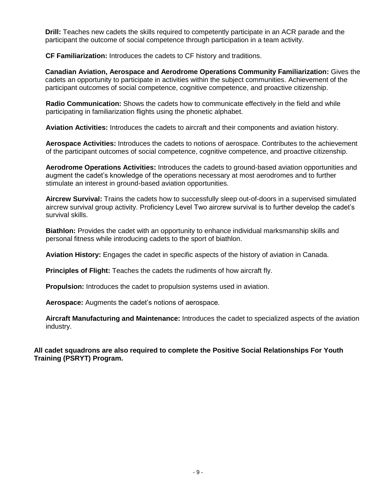**Drill:** Teaches new cadets the skills required to competently participate in an ACR parade and the participant the outcome of social competence through participation in a team activity.

 **CF Familiarization:** Introduces the cadets to CF history and traditions.

**Canadian Aviation, Aerospace and Aerodrome Operations Community Familiarization:** Gives the cadets an opportunity to participate in activities within the subject communities. Achievement of the participant outcomes of social competence, cognitive competence, and proactive citizenship.

**Radio Communication:** Shows the cadets how to communicate effectively in the field and while participating in familiarization flights using the phonetic alphabet.

**Aviation Activities:** Introduces the cadets to aircraft and their components and aviation history.

**Aerospace Activities:** Introduces the cadets to notions of aerospace. Contributes to the achievement of the participant outcomes of social competence, cognitive competence, and proactive citizenship.

**Aerodrome Operations Activities:** Introduces the cadets to ground-based aviation opportunities and augment the cadet's knowledge of the operations necessary at most aerodromes and to further stimulate an interest in ground-based aviation opportunities.

**Aircrew Survival:** Trains the cadets how to successfully sleep out-of-doors in a supervised simulated aircrew survival group activity. Proficiency Level Two aircrew survival is to further develop the cadet's survival skills.

**Biathlon:** Provides the cadet with an opportunity to enhance individual marksmanship skills and personal fitness while introducing cadets to the sport of biathlon.

**Aviation History:** Engages the cadet in specific aspects of the history of aviation in Canada.

**Principles of Flight:** Teaches the cadets the rudiments of how aircraft fly.

**Propulsion:** Introduces the cadet to propulsion systems used in aviation.

**Aerospace:** Augments the cadet's notions of aerospace.

**Aircraft Manufacturing and Maintenance:** Introduces the cadet to specialized aspects of the aviation industry.

**All cadet squadrons are also required to complete the Positive Social Relationships For Youth Training (PSRYT) Program.**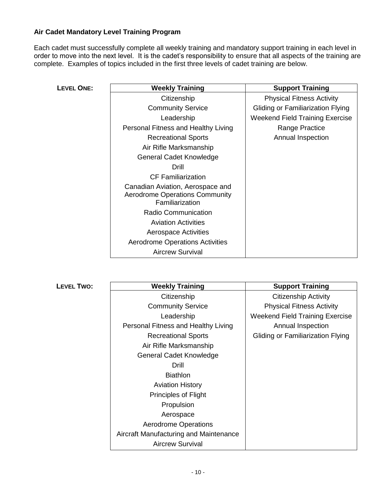### **Air Cadet Mandatory Level Training Program**

Each cadet must successfully complete all weekly training and mandatory support training in each level in order to move into the next level. It is the cadet's responsibility to ensure that all aspects of the training are complete. Examples of topics included in the first three levels of cadet training are below.

| <b>LEVEL ONE:</b> | <b>Weekly Training</b>                                                                       | <b>Support Training</b>           |
|-------------------|----------------------------------------------------------------------------------------------|-----------------------------------|
|                   | Citizenship                                                                                  | <b>Physical Fitness Activity</b>  |
|                   | <b>Community Service</b>                                                                     | Gliding or Familiarization Flying |
|                   | Leadership                                                                                   | Weekend Field Training Exercise   |
|                   | Personal Fitness and Healthy Living                                                          | Range Practice                    |
|                   | <b>Recreational Sports</b>                                                                   | Annual Inspection                 |
|                   | Air Rifle Marksmanship                                                                       |                                   |
|                   | General Cadet Knowledge                                                                      |                                   |
|                   | Drill                                                                                        |                                   |
|                   | <b>CF Familiarization</b>                                                                    |                                   |
|                   | Canadian Aviation, Aerospace and<br><b>Aerodrome Operations Community</b><br>Familiarization |                                   |
|                   | <b>Radio Communication</b>                                                                   |                                   |
|                   | <b>Aviation Activities</b>                                                                   |                                   |
|                   | <b>Aerospace Activities</b>                                                                  |                                   |
|                   | <b>Aerodrome Operations Activities</b>                                                       |                                   |
|                   | <b>Aircrew Survival</b>                                                                      |                                   |

 $L$ **EVEL TWO:** 

| <b>Weekly Training</b>                 | <b>Support Training</b>                |
|----------------------------------------|----------------------------------------|
| Citizenship                            | <b>Citizenship Activity</b>            |
| <b>Community Service</b>               | <b>Physical Fitness Activity</b>       |
| Leadership                             | <b>Weekend Field Training Exercise</b> |
| Personal Fitness and Healthy Living    | Annual Inspection                      |
| <b>Recreational Sports</b>             | Gliding or Familiarization Flying      |
| Air Rifle Marksmanship                 |                                        |
| General Cadet Knowledge                |                                        |
| Drill                                  |                                        |
| <b>Biathlon</b>                        |                                        |
| <b>Aviation History</b>                |                                        |
| <b>Principles of Flight</b>            |                                        |
| Propulsion                             |                                        |
| Aerospace                              |                                        |
| <b>Aerodrome Operations</b>            |                                        |
| Aircraft Manufacturing and Maintenance |                                        |
| <b>Aircrew Survival</b>                |                                        |
|                                        |                                        |